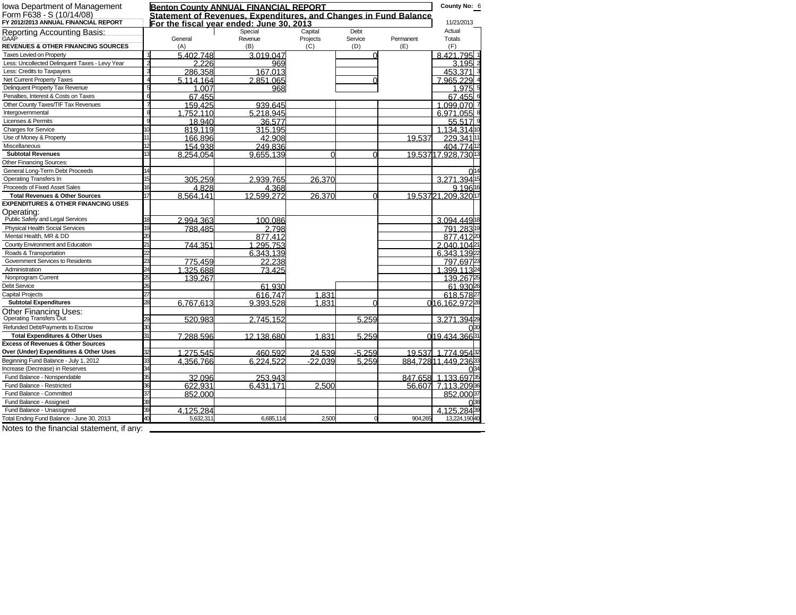| <b>Iowa Department of Management</b>           |                       |           | <b>Benton County ANNUAL FINANCIAL REPORT</b>                     |           |          |           | County No: 6         |
|------------------------------------------------|-----------------------|-----------|------------------------------------------------------------------|-----------|----------|-----------|----------------------|
| Form F638 - S (10/14/08)                       |                       |           | Statement of Revenues. Expenditures, and Changes in Fund Balance |           |          |           |                      |
| FY 2012/2013 ANNUAL FINANCIÁL REPORT           |                       |           | For the fiscal vear ended: June 30, 2013                         |           |          |           | 11/21/2013           |
| Reporting Accounting Basis:<br>GAAP            |                       |           | Special                                                          | Capital   | Debt     |           | Actual               |
|                                                |                       | General   | Revenue                                                          | Projects  | Service  | Permanent | <b>Totals</b>        |
| <b>REVENUES &amp; OTHER FINANCING SOURCES</b>  |                       | (A)       | (B)                                                              | (C)       | (D)      | (E)       | (F)                  |
| Taxes Levied on Property                       | $\overline{2}$        | 5.402.748 | 3.019.047                                                        |           |          |           | 8.421.795            |
| Less: Uncollected Delinquent Taxes - Levy Year | 3                     | 2.226     | 969                                                              |           |          |           | 3.195                |
| Less: Credits to Taxpayers                     |                       | 286.358   | 167.013                                                          |           |          |           | 453.371              |
| Net Current Property Taxes                     |                       | 5.114.164 | 2.851.065                                                        |           |          |           | 7.965.229            |
| Delinquent Property Tax Revenue                | ŧ                     | 1.007     | 968                                                              |           |          |           | 1.975                |
| Penalties, Interest & Costs on Taxes           | $\overline{6}$        | 67.455    |                                                                  |           |          |           | 67.455               |
| Other County Taxes/TIF Tax Revenues            |                       | 159.425   | 939.645                                                          |           |          |           | 1.099.070            |
| Intergovernmental                              | $\overline{\epsilon}$ | 1.752.110 | 5.218.945                                                        |           |          |           | 6.971.055            |
| Licenses & Permits                             |                       | 18.940    | 36.577                                                           |           |          |           | 55.517               |
| <b>Charges for Service</b>                     | 1C                    | 819.119   | 315.195                                                          |           |          |           | 1.134.3141           |
| Use of Money & Property                        |                       | 166.896   | 42.908                                                           |           |          | 19.537    | 229.341              |
| Miscellaneous                                  | $\overline{12}$       | 154.938   | 249.836                                                          |           |          |           | 404.77412            |
| <b>Subtotal Revenues</b>                       |                       | 8.254.054 | 9.655.139                                                        | ∩         | ∩        |           | 19.53717.928.73013   |
| Other Financing Sources:                       |                       |           |                                                                  |           |          |           |                      |
| General Long-Term Debt Proceeds                |                       |           |                                                                  |           |          |           |                      |
| Operating Transfers In                         | $\overline{15}$       | 305.259   | 2.939.765                                                        | 26.370    |          |           | 3.271.394            |
| Proceeds of Fixed Asset Sales                  | 16                    | 4.828     | 4.368                                                            |           |          |           | 9.19616              |
| <b>Total Revenues &amp; Other Sources</b>      | 17                    | 8.564.141 | 12.599.272                                                       | 26.370    | ∩        |           | 19.53721.209.32017   |
| <b>EXPENDITURES &amp; OTHER FINANCING USES</b> |                       |           |                                                                  |           |          |           |                      |
| Operating:<br>Public Safety and Legal Services |                       |           |                                                                  |           |          |           |                      |
|                                                | 18                    | 2.994.363 | 100.086                                                          |           |          |           | 3.094.4491           |
| <b>Physical Health Social Services</b>         | 19                    | 788.485   | 2.798                                                            |           |          |           | 791.28319            |
| Mental Health, MR & DD                         |                       |           | 877.412                                                          |           |          |           | 877.41220            |
| County Environment and Education               |                       | 744.351   | 1.295.753                                                        |           |          |           | 2.040.104            |
| Roads & Transportation                         |                       |           | 6.343.139                                                        |           |          |           | 6.343.139            |
| Government Services to Residents               |                       | 775.459   | 22.238                                                           |           |          |           | 797.697              |
| Administration                                 |                       | 1.325.688 | 73.425                                                           |           |          |           | 399.1132             |
| Nonprogram Current                             |                       | 139.267   |                                                                  |           |          |           | 139.267              |
| <b>Debt Service</b>                            |                       |           | 61.930                                                           |           |          |           | 61.930 <sup>26</sup> |
| <b>Capital Projects</b>                        |                       |           | 616.747                                                          | 1.831     |          |           | 618.57827            |
| <b>Subtotal Expenditures</b>                   |                       | 6.767.613 | 9.393.528                                                        | 1.831     | ∩        |           | 016.162.97228        |
| <b>Other Financing Uses:</b>                   |                       |           |                                                                  |           |          |           |                      |
| Operating Transfers Out                        |                       | 520.983   | 2.745.152                                                        |           | 5.259    |           | 3.271.394            |
| Refunded Debt/Payments to Escrow               |                       |           |                                                                  |           |          |           |                      |
| <b>Total Expenditures &amp; Other Uses</b>     |                       | 7.288.596 | 12.138.680                                                       | 1.831     | 5.259    |           | 019.434.36631        |
| <b>Excess of Revenues &amp; Other Sources</b>  |                       |           |                                                                  |           |          |           |                      |
| Over (Under) Expenditures & Other Uses         |                       | 1.275.545 | 460.592                                                          | 24.539    | $-5.259$ | 19.537    | 1.774.954            |
| Beginning Fund Balance - July 1, 2012          |                       | 4.356.766 | 6.224.522                                                        | $-22.039$ | 5.259    |           | 884.72811.449.23633  |
| Increase (Decrease) in Reserves                |                       |           |                                                                  |           |          |           |                      |
| Fund Balance - Nonspendable                    | 35                    | 32.096    | 253.943                                                          |           |          | 847.658   | 1.133.697            |
| Fund Balance - Restricted                      |                       | 622.931   | 6.431.171                                                        | 2.500     |          |           | 56,607 7,113.20936   |
| Fund Balance - Committed                       | 37                    | 852.000   |                                                                  |           |          |           | 852.00037            |
| Fund Balance - Assigned                        |                       |           |                                                                  |           |          |           |                      |
| Fund Balance - Unassigned                      |                       | 4.125.284 |                                                                  |           |          |           | 4.125<br>28439       |
| Total Ending Fund Balance - June 30, 2013      |                       | 5,632,311 | 6,685,114                                                        | 2,500     |          | 904,265   | 13,224,19040         |
| Notes to the financial statement, if any:      |                       |           |                                                                  |           |          |           |                      |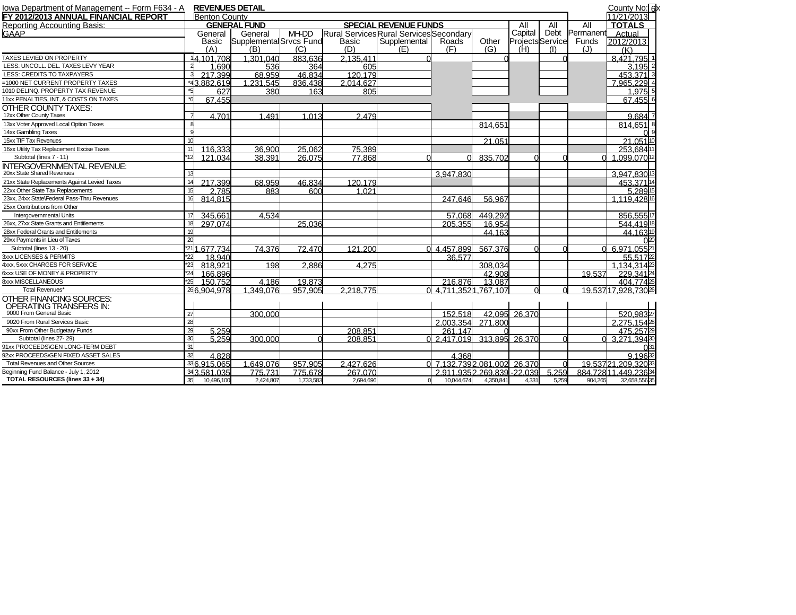| Iowa Department of Management -- Form F634 - A |     |                      | <b>REVENUES DETAIL</b>  |           |                                         |                              |                             |                |                         |       |           | County No: 6x       |
|------------------------------------------------|-----|----------------------|-------------------------|-----------|-----------------------------------------|------------------------------|-----------------------------|----------------|-------------------------|-------|-----------|---------------------|
| FY 2012/2013 ANNUAL FINANCIAL REPORT           |     | <b>Benton County</b> |                         |           |                                         |                              |                             |                |                         |       |           | 11/21/2013          |
| Reporting Accounting Basis:                    |     |                      | <b>GENERAL FUND</b>     |           |                                         | <b>SPECIAL REVENUE FUNDS</b> |                             |                | All                     | All   | All       | <b>TOTALS</b>       |
| GAAP                                           |     | General              | General                 | MH-DD     | Rural Services Rural Services Secondary |                              |                             |                | Capital                 | Debt  | Permanent | Actual              |
|                                                |     | Basic                | Supplemental Srvcs Fund |           | Basic                                   | Supplemental                 | Roads                       | Other          | <b>Projects</b> Service |       | Funds     | 2012/2013           |
|                                                |     | (A)                  | (B)                     | (C)       | (D)                                     | (E)                          | (F)                         | (G)            | (H)                     | (1)   | (J)       | (K)                 |
| TAXES LEVIED ON PROPERTY                       |     | 14.101.708           | 1.301.040               | 883.636   | 2.135.411                               |                              |                             |                |                         |       |           | 8.421.795 1         |
| LESS: UNCOLL. DEL. TAXES LEVY YEAR             |     | 1.690                | 536                     | 364       | 605                                     |                              |                             |                |                         |       |           | 3.195               |
| LESS: CREDITS TO TAXPAYERS                     |     | 217.399              | 68.959                  | 46.834    | 120.179                                 |                              |                             |                |                         |       |           | 453.371             |
| =1000 NET CURRENT PROPERTY TAXES               |     | *43.882.619          | 1.231.545               | 836,438   | 2.014.627                               |                              |                             |                |                         |       |           | .965.229            |
| 1010 DELINQ. PROPERTY TAX REVENUE              |     | 627                  | 380                     | 163       | 805                                     |                              |                             |                |                         |       |           | 1.975               |
| 11xx PENALTIES, INT, & COSTS ON TAXES          |     | 67.455               |                         |           |                                         |                              |                             |                |                         |       |           | 67.455 6            |
| <b>OTHER COUNTY TAXES:</b>                     |     |                      |                         |           |                                         |                              |                             |                |                         |       |           |                     |
| 12xx Other County Taxes                        |     | 4.701                | 1.491                   | 1.013     | 2.479                                   |                              |                             |                |                         |       |           | 9.684               |
| 13xx Voter Approved Local Option Taxes         |     |                      |                         |           |                                         |                              |                             | 814.651        |                         |       |           | 814.651             |
| 14xx Gambling Taxes                            |     |                      |                         |           |                                         |                              |                             |                |                         |       |           |                     |
| 15xx TIF Tax Revenues                          |     |                      |                         |           |                                         |                              |                             | 21.051         |                         |       |           | 21.0511             |
| 16xx Utility Tax Replacement Excise Taxes      |     | 116.333              | 36.900                  | 25.062    | 75.389                                  |                              |                             |                |                         |       |           | 253.6841            |
| Subtotal (lines 7 - 11)                        |     | 121.034              | 38.391                  | 26.075    | 77.868                                  |                              |                             | 835.702        |                         |       |           | 1.099.0701          |
| <b>INTERGOVERNMENTAL REVENUE:</b>              |     |                      |                         |           |                                         |                              |                             |                |                         |       |           |                     |
| 20xx State Shared Revenues                     |     |                      |                         |           |                                         |                              | 3.947.830                   |                |                         |       |           | 3.947.8301          |
| 21xx State Replacements Against Levied Taxes   |     | 217.399              | 68.959                  | 46.834    | 120.179                                 |                              |                             |                |                         |       |           | 453.37114           |
| 22xx Other State Tax Replacements              | 15  | 2.785                | 883                     | 600       | 1.021                                   |                              |                             |                |                         |       |           | 5.2891              |
| 23xx, 24xx State\Federal Pass-Thru Revenues    | 16  | 814.815              |                         |           |                                         |                              | 247.646                     | 56.967         |                         |       |           | 1.119.42816         |
| 25xx Contributions from Other                  |     |                      |                         |           |                                         |                              |                             |                |                         |       |           |                     |
| Intergovernmental Units                        |     | 345.661              | 4.534                   |           |                                         |                              | 57.068                      | 449.292        |                         |       |           | 856.555             |
| 26xx, 27xx State Grants and Entitlements       | 18  | 297.074              |                         | 25.036    |                                         |                              | 205.355                     | 16.954         |                         |       |           | 544,41918           |
| 28xx Federal Grants and Entitlements           |     |                      |                         |           |                                         |                              |                             | 44.163         |                         |       |           | 44.16319            |
| 29xx Payments in Lieu of Taxes                 | 20  |                      |                         |           |                                         |                              |                             |                |                         |       |           |                     |
| Subtotal (lines 13 - 20)                       |     | *211.677.734         | 74.376                  | 72.470    | 121.200                                 |                              | 4.457.899                   | 567.376        |                         |       |           | 6.971.05521         |
| 3xxx LICENSES & PERMITS                        | 22  | 18.940               |                         |           |                                         |                              | 36.577                      |                |                         |       |           | 55.5172             |
| 4xxx, 5xxx CHARGES FOR SERVICE                 | *23 | 818.921              | 198                     | 2,886     | 4.275                                   |                              |                             | 308.034        |                         |       |           | .134.3142           |
| 6xxx USE OF MONEY & PROPERTY                   |     | 166,896              |                         |           |                                         |                              |                             | 42.908         |                         |       | 19.537    | 229.34124           |
| <b>8xxx MISCELLANEOUS</b>                      | 25  | 150.752              | 4.186                   | 19.873    |                                         |                              | 216.876                     | 13.087         |                         |       |           | 404 774 25          |
| Total Revenues*                                |     | 266.904.978          | 1.349.076               | 957.905   | 2.218.775                               | ∩                            | 4.711.3521.767.107          |                | $\Omega$                |       |           | 19.53717.928.73026  |
| OTHER FINANCING SOURCES:                       |     |                      |                         |           |                                         |                              |                             |                |                         |       |           |                     |
| <b>OPERATING TRANSFERS IN:</b>                 |     |                      |                         |           |                                         |                              |                             |                |                         |       |           |                     |
| 9000 From General Basic                        | 27  |                      | 300.000                 |           |                                         |                              | 152.518                     | 42.095         | 26,370                  |       |           | 520.98327           |
| 9020 From Rural Services Basic                 | 28  |                      |                         |           |                                         |                              | 2.003.354                   | 271,800        |                         |       |           | 2.275.1542          |
| 90xx From Other Budgetary Funds                | 29  | 5.259                |                         |           | 208.851                                 |                              | 261.147                     |                |                         |       |           | 475.2572            |
| Subtotal (lines 27-29)                         | 30  | 5.259                | 300.000                 |           | 208.851                                 |                              | 0, 2.417.019                | 313.895 26.370 |                         |       |           | 3.271.39430         |
| 91xx PROCEEDS\GEN LONG-TERM DEBT               | 31  |                      |                         |           |                                         |                              |                             |                |                         |       |           |                     |
| 92xx PROCEEDS\GEN FIXED ASSET SALES            | 32  | 4.828                |                         |           |                                         |                              | 4.368                       |                |                         |       |           | 9.19632             |
| <b>Total Revenues and Other Sources</b>        |     | 386.915.065          | 1.649.076               | 957.905   | 2.427.626                               |                              | 7.132.7392.081.002 26.370   |                |                         |       |           | 19.53721.209.32033  |
| Beginning Fund Balance - July 1, 2012          |     | 343.581.035          | 775.731                 | 775,678   | 267,070                                 |                              | 2.911.9352.269.839 - 22.039 |                |                         | 5.259 |           | 884.72811.449.23634 |
| TOTAL RESOURCES (lines 33 + 34)                | 35  | 10,496,100           | 2,424,807               | 1,733,583 | 2,694,696                               |                              | 10,044,674                  | 4,350,841      | 4,331                   | 5,259 | 904,265   | 32,658,55635        |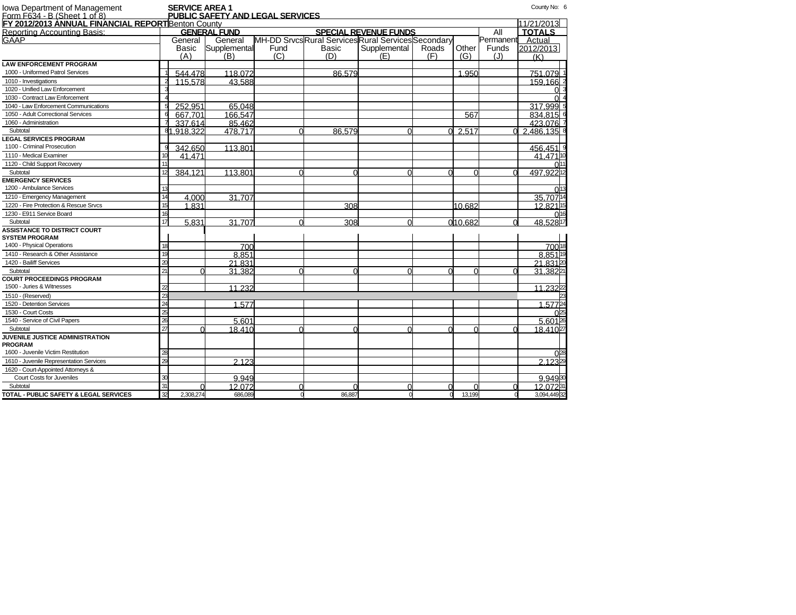| Iowa Department of Management<br><u>Form F634 - B (Sheet 1 of 8)</u> |              | <b>SERVICE AREA 1</b> | <b>PUBLIC SAFETY AND LEGAL SERVICES</b> |          |                                                     |                              |          |         |           | County No: 6  |                              |
|----------------------------------------------------------------------|--------------|-----------------------|-----------------------------------------|----------|-----------------------------------------------------|------------------------------|----------|---------|-----------|---------------|------------------------------|
| FY 2012/2013 ANNUAL FINANCIAL REPORTBenton County                    |              |                       |                                         |          |                                                     |                              |          |         |           | 11/21/2013    |                              |
| Reporting Accounting Basis:                                          |              |                       | <b>GENERAL FUND</b>                     |          |                                                     | <b>SPECIAL REVENUE FUNDS</b> |          |         | All       | <b>TOTALS</b> |                              |
| GAAP                                                                 |              | General               | General                                 |          | MH-DD Srvcs Rural Services Rural Services Secondary |                              |          |         | Permanent | Actual        |                              |
|                                                                      |              | Basic                 | Supplemental                            | Fund     | Basic                                               | Supplemental                 | Roads    | Other   | Funds     | 2012/2013     |                              |
|                                                                      |              | (A)                   | (B)                                     | (C)      | (D)                                                 | (E)                          | (F)      | (G)     | (J)       | (K)           |                              |
| <b>LAW ENFORCEMENT PROGRAM</b>                                       |              |                       |                                         |          |                                                     |                              |          |         |           |               |                              |
| 1000 - Uniformed Patrol Services                                     |              | 544.478               | 118.072                                 |          | 86.579                                              |                              |          | 1.950   |           | 751.079 1     |                              |
| 1010 - Investigations                                                |              | 115,578               | 43.588                                  |          |                                                     |                              |          |         |           | 159.166 2     |                              |
| 1020 - Unified Law Enforcement                                       |              |                       |                                         |          |                                                     |                              |          |         |           |               |                              |
| 1030 - Contract Law Enforcement                                      |              |                       |                                         |          |                                                     |                              |          |         |           |               |                              |
| 1040 - Law Enforcement Communications                                |              | 252.951               | 65.048                                  |          |                                                     |                              |          |         |           | 317.999 5     |                              |
| 1050 - Adult Correctional Services                                   |              | 667.701               | 166,547                                 |          |                                                     |                              |          | 567     |           | 834.815 6     |                              |
| 1060 - Administration                                                |              | 337.614               | 85.462                                  |          |                                                     |                              |          |         |           | 423.076 7     |                              |
| Subtotal                                                             |              | 81.918.322            | 478.717                                 | ∩        | 86.579                                              |                              | $\Omega$ | 2.517   | $\Omega$  | 2.486.135 8   |                              |
| <b>LEGAL SERVICES PROGRAM</b>                                        |              |                       |                                         |          |                                                     |                              |          |         |           |               |                              |
| 1100 - Criminal Prosecution                                          |              | 342.650               | 113.801                                 |          |                                                     |                              |          |         |           | 456.451 9     |                              |
| 1110 - Medical Examiner                                              |              | 41.471                |                                         |          |                                                     |                              |          |         |           | 41.471 10     |                              |
| 1120 - Child Support Recovery                                        |              |                       |                                         |          |                                                     |                              |          |         |           |               | $\Omega$ <sub>11</sub>       |
| Subtotal                                                             | 12           | 384.121               | 113.801                                 | ∩        |                                                     |                              |          |         |           | 497.92212     |                              |
| <b>EMERGENCY SERVICES</b>                                            |              |                       |                                         |          |                                                     |                              |          |         |           |               |                              |
| 1200 - Ambulance Services                                            | 13           |                       |                                         |          |                                                     |                              |          |         |           |               | $\overline{0}$ <sup>13</sup> |
| 1210 - Emergency Management                                          | 14           | 4.000                 | 31.707                                  |          |                                                     |                              |          |         |           | 35.70714      |                              |
| 1220 - Fire Protection & Rescue Srvcs                                | 15           | 1.831                 |                                         |          | 308                                                 |                              |          | 10.682  |           | 12.82115      |                              |
| 1230 - E911 Service Board                                            | 16           |                       |                                         |          |                                                     |                              |          |         |           |               | 016                          |
| Subtotal                                                             | 17           | 5.831                 | 31.707                                  | ∩        | 308                                                 |                              |          | 010.682 | $\Omega$  | 48.528 17     |                              |
| <b>ASSISTANCE TO DISTRICT COURT</b>                                  |              |                       |                                         |          |                                                     |                              |          |         |           |               |                              |
| <b>SYSTEM PROGRAM</b>                                                |              |                       |                                         |          |                                                     |                              |          |         |           |               |                              |
| 1400 - Physical Operations                                           | 18           |                       | 700                                     |          |                                                     |                              |          |         |           | 70018         |                              |
| 1410 - Research & Other Assistance                                   | 19           |                       | 8.851                                   |          |                                                     |                              |          |         |           | 8.85119       |                              |
| 1420 - Bailiff Services                                              | 20           |                       | 21.831                                  |          |                                                     |                              |          |         |           | 21.83120      |                              |
| Subtotal                                                             | 21           |                       | 31.382                                  | ∩        |                                                     |                              |          |         |           | 31,38221      |                              |
| <b>COURT PROCEEDINGS PROGRAM</b>                                     |              |                       |                                         |          |                                                     |                              |          |         |           |               |                              |
| 1500 - Juries & Witnesses                                            | $\mathbf{z}$ |                       | 11.232                                  |          |                                                     |                              |          |         |           | 11.23222      |                              |
| 1510 - (Reserved)                                                    | 23           |                       |                                         |          |                                                     |                              |          |         |           |               |                              |
| 1520 - Detention Services                                            | 24           |                       | 1.577                                   |          |                                                     |                              |          |         |           | 1.57724       |                              |
| 1530 - Court Costs                                                   | 25           |                       |                                         |          |                                                     |                              |          |         |           |               | 025                          |
| 1540 - Service of Civil Papers                                       | 26           |                       | 5.601                                   |          |                                                     |                              |          |         |           | 5.60126       |                              |
| Subtotal                                                             | 27           |                       | 18.410                                  | ∩        |                                                     |                              |          |         |           | 18,41027      |                              |
| JUVENILE JUSTICE ADMINISTRATION                                      |              |                       |                                         |          |                                                     |                              |          |         |           |               |                              |
| <b>PROGRAM</b>                                                       |              |                       |                                         |          |                                                     |                              |          |         |           |               |                              |
| 1600 - Juvenile Victim Restitution                                   | 28           |                       |                                         |          |                                                     |                              |          |         |           |               | $0^{28}$                     |
| 1610 - Juvenile Representation Services                              | 29           |                       | 2.123                                   |          |                                                     |                              |          |         |           | 2.12329       |                              |
| 1620 - Court-Appointed Attorneys &                                   |              |                       |                                         |          |                                                     |                              |          |         |           |               |                              |
| Court Costs for Juveniles                                            | 30           |                       | 9.949                                   |          |                                                     |                              |          |         |           | 9.94930       |                              |
| Subtotal                                                             | 31           |                       | 12.072                                  | $\cap$   |                                                     |                              | $\Omega$ |         |           | 12.07231      |                              |
| TOTAL - PUBLIC SAFETY & LEGAL SERVICES                               | 32           | 2.308.274             | 686,089                                 | $\Omega$ | 86,887                                              |                              | $\Omega$ | 13.199  | n         | 3,094,44932   |                              |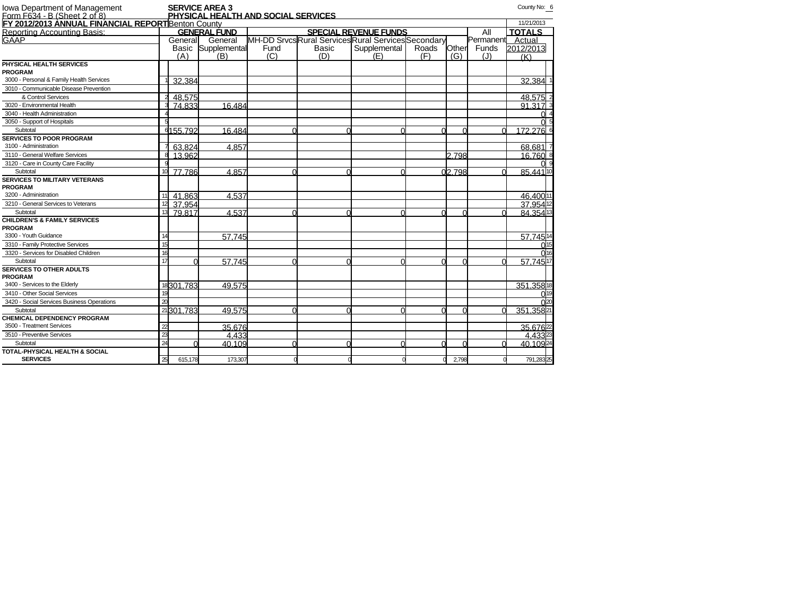| lowa Department of Management<br>Form F634 - B (Sheet 2 of 8) |                 |           | <b>SERVICE AREA 3</b> |                                     |       |                                                     |       |        |                  | County No: 6  |
|---------------------------------------------------------------|-----------------|-----------|-----------------------|-------------------------------------|-------|-----------------------------------------------------|-------|--------|------------------|---------------|
| FY 2012/2013 ANNUAL FINANCIAL REPORTBenton County             |                 |           |                       | PHYSICAL HEALTH AND SOCIAL SERVICES |       |                                                     |       |        |                  | 11/21/2013    |
| Reporting Accounting Basis:                                   |                 |           | <b>GENERAL FUND</b>   |                                     |       | <b>SPECIAL REVENUE FUNDS</b>                        |       |        | All              | <b>TOTALS</b> |
| GAAP                                                          |                 |           | General General       |                                     |       | MH-DD Srvcs Rural Services Rural Services Secondary |       |        | Permanent Actual |               |
|                                                               |                 | Basic     | Supplemental          | Fund                                | Basic | Supplemental                                        | Roads | Other  | Funds            | 2012/2013     |
|                                                               |                 | (A)       | (B)                   | (C)                                 | (D)   | (E)                                                 | (F)   | (G)    | (J)              | (K)           |
| PHYSICAL HEALTH SERVICES                                      |                 |           |                       |                                     |       |                                                     |       |        |                  |               |
| <b>PROGRAM</b>                                                |                 |           |                       |                                     |       |                                                     |       |        |                  |               |
| 3000 - Personal & Family Health Services                      |                 | 32.384    |                       |                                     |       |                                                     |       |        |                  | 32.384        |
| 3010 - Communicable Disease Prevention                        |                 |           |                       |                                     |       |                                                     |       |        |                  |               |
| & Control Services                                            |                 | 48.575    |                       |                                     |       |                                                     |       |        |                  | 48.575        |
| 3020 - Environmental Health                                   |                 | 74.833    | 16.484                |                                     |       |                                                     |       |        |                  | 91.317        |
| 3040 - Health Administration                                  |                 |           |                       |                                     |       |                                                     |       |        |                  |               |
| 3050 - Support of Hospitals                                   |                 |           |                       |                                     |       |                                                     |       |        |                  |               |
| Subtotal                                                      |                 | 6155.792  | 16.484                |                                     |       |                                                     | ∩     |        | $\cap$           | 172.276 6     |
| <b>SERVICES TO POOR PROGRAM</b>                               |                 |           |                       |                                     |       |                                                     |       |        |                  |               |
| 3100 - Administration                                         |                 | 63.824    | 4.857                 |                                     |       |                                                     |       |        |                  | 68.681        |
| 3110 - General Welfare Services                               |                 | 13.962    |                       |                                     |       |                                                     |       | 2.798  |                  | 16.760        |
| 3120 - Care in County Care Facility                           |                 |           |                       |                                     |       |                                                     |       |        |                  |               |
| Subtotal                                                      | 10              | 77.786    | 4.857                 |                                     |       |                                                     |       | 02.798 |                  | 85.441 10     |
| <b>SERVICES TO MILITARY VETERANS</b>                          |                 |           |                       |                                     |       |                                                     |       |        |                  |               |
| <b>PROGRAM</b>                                                |                 |           |                       |                                     |       |                                                     |       |        |                  |               |
| 3200 - Administration                                         |                 | 41.863    | 4.537                 |                                     |       |                                                     |       |        |                  | 46.400 11     |
| 3210 - General Services to Veterans                           | 12              | 37.954    |                       |                                     |       |                                                     |       |        |                  | 37.95412      |
| Subtotal                                                      | 13              | 79.817    | 4.537                 |                                     |       |                                                     | ∩     |        |                  | 84.35413      |
| <b>CHILDREN'S &amp; FAMILY SERVICES</b>                       |                 |           |                       |                                     |       |                                                     |       |        |                  |               |
| <b>PROGRAM</b>                                                |                 |           |                       |                                     |       |                                                     |       |        |                  |               |
| 3300 - Youth Guidance                                         | 14              |           | 57.745                |                                     |       |                                                     |       |        |                  | 57.74514      |
| 3310 - Family Protective Services                             | 15              |           |                       |                                     |       |                                                     |       |        |                  |               |
| 3320 - Services for Disabled Children                         | 16              |           |                       |                                     |       |                                                     |       |        |                  |               |
| Subtotal                                                      | 17              |           | 57.745                |                                     | ſ     |                                                     |       |        | r                | 57.74517      |
| <b>SERVICES TO OTHER ADULTS</b>                               |                 |           |                       |                                     |       |                                                     |       |        |                  |               |
| <b>PROGRAM</b>                                                |                 |           |                       |                                     |       |                                                     |       |        |                  |               |
| 3400 - Services to the Elderly                                |                 | 18301.783 | 49.575                |                                     |       |                                                     |       |        |                  | 351.35818     |
| 3410 - Other Social Services                                  | 19              |           |                       |                                     |       |                                                     |       |        |                  |               |
| 3420 - Social Services Business Operations                    | 20              |           |                       |                                     |       |                                                     |       |        |                  |               |
| Subtotal                                                      |                 | 21301.783 | 49.575                |                                     |       |                                                     | ∩     |        | $\Omega$         | 351.35821     |
| <b>CHEMICAL DEPENDENCY PROGRAM</b>                            |                 |           |                       |                                     |       |                                                     |       |        |                  |               |
| 3500 - Treatment Services                                     | $\overline{22}$ |           | 35.676                |                                     |       |                                                     |       |        |                  | 35.67622      |
| 3510 - Preventive Services                                    | $\overline{23}$ |           | 4.433                 |                                     |       |                                                     |       |        |                  | 4 4 3 3 23    |
| Subtotal                                                      | 24              |           | 40.109                |                                     | r     |                                                     | ∩     |        |                  | 40.10924      |
| <b>TOTAL-PHYSICAL HEALTH &amp; SOCIAL</b>                     |                 |           |                       |                                     |       |                                                     |       |        |                  |               |
| <b>SERVICES</b>                                               | 25              | 615,178   | 173,307               |                                     |       |                                                     | C     | 2,798  |                  | 791,28325     |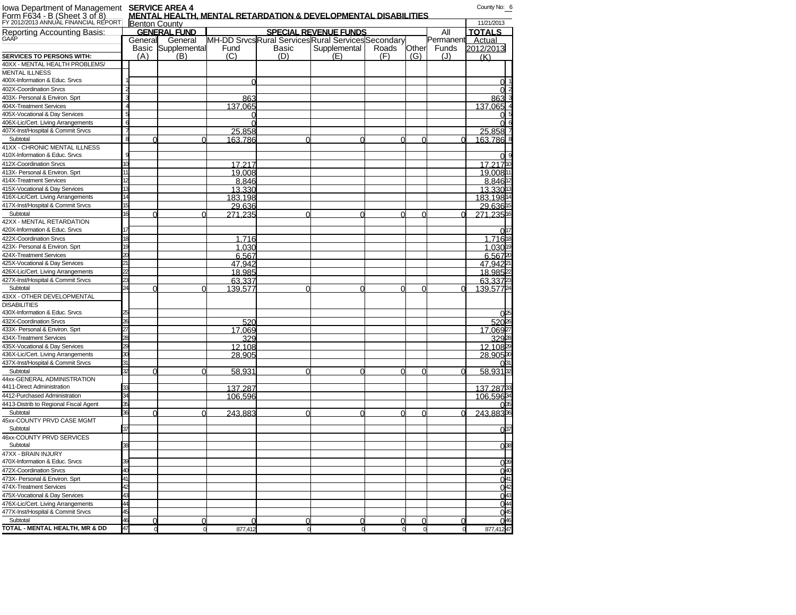| lowa Department of Management  SERVICE AREA 4<br>Form F634 - B (Sheet 3 of 8) ____  MENTAL HEALTH |     |                           |            |       | <b>MENTAL HEALTH, MENTAL RETARDATION &amp; DEVELOPMENTAL DISABILITIES</b> |       |          |           | County No: 6         |                           |
|---------------------------------------------------------------------------------------------------|-----|---------------------------|------------|-------|---------------------------------------------------------------------------|-------|----------|-----------|----------------------|---------------------------|
| FY 2012/2013 ANNUAL FINANCIAL REPORT                                                              |     | <b>Benton County</b>      |            |       |                                                                           |       |          |           | 11/21/2013           |                           |
| Reporting Accounting Basis:                                                                       |     | <b>GENERAL FUND</b>       |            |       | <b>SPECIAL REVENUE FUNDS</b>                                              |       |          | All       | <b>TOTALS</b>        |                           |
| GAAF                                                                                              |     | General General           |            |       | MH-DD Srvcs Rural Services Rural Services Secondary                       |       |          | Permanent | Actual               |                           |
|                                                                                                   |     | <b>Basic Supplemental</b> | Fund       | Basic | Supplemental                                                              | Roads | Other    | Funds     | 2012/2013            |                           |
| <b>SERVICES TO PERSONS WITH:</b>                                                                  | (A) | (B)                       | (C)        | (D)   | (E)                                                                       | (F)   | (G)      | (J)       | (K)                  |                           |
| 40XX - MENTAL HEALTH PROBLEMS/                                                                    |     |                           |            |       |                                                                           |       |          |           |                      |                           |
| <b>MENTAL ILLNESS</b>                                                                             |     |                           |            |       |                                                                           |       |          |           |                      |                           |
| 400X-Information & Educ. Srvcs                                                                    |     |                           |            |       |                                                                           |       |          |           | $\Omega$             |                           |
| 402X-Coordination Srvcs                                                                           |     |                           |            |       |                                                                           |       |          |           |                      |                           |
| 403X- Personal & Environ. Sprt                                                                    |     |                           | 863        |       |                                                                           |       |          |           | 863                  |                           |
| 404X-Treatment Services                                                                           |     |                           | 137.065    |       |                                                                           |       |          |           | 137.065              |                           |
| 405X-Vocational & Day Services                                                                    |     |                           | 0          |       |                                                                           |       |          |           |                      |                           |
| 406X-Lic/Cert. Living Arrangements                                                                |     |                           | $\sqrt{ }$ |       |                                                                           |       |          |           |                      |                           |
| 407X-Inst/Hospital & Commit Srvcs                                                                 |     |                           | 25.858     |       |                                                                           |       |          |           | 25,858               |                           |
| Subtotal                                                                                          |     | $\Omega$                  | 163.786    |       |                                                                           |       | $\Omega$ | $\Omega$  | 163.786              |                           |
| 41XX - CHRONIC MENTAL ILLNESS<br>410X-Information & Educ. Srvcs                                   |     |                           |            |       |                                                                           |       |          |           |                      |                           |
| 412X-Coordination Srvcs                                                                           |     |                           | 17.217     |       |                                                                           |       |          |           | 17.21710             |                           |
| 413X- Personal & Environ. Sprt                                                                    | 11  |                           | 19.008     |       |                                                                           |       |          |           | 19.00811             |                           |
| 414X-Treatment Services                                                                           |     |                           | 8.846      |       |                                                                           |       |          |           | 8.84612              |                           |
| 415X-Vocational & Day Services                                                                    |     |                           | 13.330     |       |                                                                           |       |          |           | 13.330 <sup>13</sup> |                           |
| 416X-Lic/Cert. Living Arrangements                                                                |     |                           | 183.198    |       |                                                                           |       |          |           | 183.19814            |                           |
| 417X-Inst/Hospital & Commit Srvcs                                                                 |     |                           | 29.636     |       |                                                                           |       |          |           | 29.63615             |                           |
| Subtotal                                                                                          | 16  | $\Omega$<br>U             | 271.235    |       |                                                                           | ∩     | $\Omega$ | $\Omega$  | 271.23516            |                           |
| 42XX - MENTAL RETARDATION                                                                         |     |                           |            |       |                                                                           |       |          |           |                      |                           |
| 420X-Information & Educ. Srvcs                                                                    |     |                           |            |       |                                                                           |       |          |           |                      | 0 <sup>17</sup>           |
| 422X-Coordination Srvcs                                                                           |     |                           | 1.716      |       |                                                                           |       |          |           | 1.71618              |                           |
| 423X- Personal & Environ. Sprt                                                                    |     |                           | 1.030      |       |                                                                           |       |          |           | 1,03019              |                           |
| 424X-Treatment Services                                                                           |     |                           | 6.567      |       |                                                                           |       |          |           | 6,56720              |                           |
| 425X-Vocational & Day Services                                                                    |     |                           | 47.942     |       |                                                                           |       |          |           | 47.94221             |                           |
| 426X-Lic/Cert. Living Arrangements                                                                |     |                           | 18.985     |       |                                                                           |       |          |           | 18.98522             |                           |
| 427X-Inst/Hospital & Commit Srvcs                                                                 |     |                           | 63.337     |       |                                                                           |       |          |           | 63.3372              |                           |
| Subtotal                                                                                          |     |                           | 139.577    | r     |                                                                           | U     | $\Omega$ | $\Omega$  | 139,57724            |                           |
| 43XX - OTHER DEVELOPMENTAL                                                                        |     |                           |            |       |                                                                           |       |          |           |                      |                           |
| <b>DISABILITIES</b>                                                                               |     |                           |            |       |                                                                           |       |          |           |                      |                           |
| 430X-Information & Educ. Srvcs                                                                    |     |                           |            |       |                                                                           |       |          |           |                      | 0 <sup>25</sup>           |
| 432X-Coordination Srvcs                                                                           |     |                           | 520        |       |                                                                           |       |          |           | 52026                |                           |
| 433X- Personal & Environ. Sprt                                                                    |     |                           | 17.069     |       |                                                                           |       |          |           | 17.06927             |                           |
| 434X-Treatment Services                                                                           |     |                           | 329        |       |                                                                           |       |          |           | 32928                |                           |
| 435X-Vocational & Day Services                                                                    |     |                           | 12.108     |       |                                                                           |       |          |           | 12.10829             |                           |
| 436X-Lic/Cert. Living Arrangements                                                                |     |                           | 28.905     |       |                                                                           |       |          |           | 28.90530             |                           |
| 437X-Inst/Hospital & Commit Srvcs                                                                 |     |                           |            |       |                                                                           |       |          |           |                      |                           |
| Subtotal                                                                                          |     | $\Omega$<br>O             | 58.931     | r     |                                                                           | U     | $\Omega$ | O         | 58.93132             |                           |
| 44xx-GENERAL ADMINISTRATION                                                                       |     |                           |            |       |                                                                           |       |          |           |                      |                           |
| 4411-Direct Administration                                                                        |     |                           | 137.287    |       |                                                                           |       |          |           | 137.28733            |                           |
| 4412-Purchased Administration                                                                     |     |                           | 106.596    |       |                                                                           |       |          |           | 106.59634            |                           |
| 4413-Distrib to Regional Fiscal Agent                                                             |     |                           |            |       |                                                                           |       |          |           |                      |                           |
| Subtotal                                                                                          | 36  | $\Omega$                  | 243.883    | U     |                                                                           |       | $\Omega$ | $\Omega$  | 243.88336            |                           |
| 45xx-COUNTY PRVD CASE MGMT<br>Subtotal                                                            |     |                           |            |       |                                                                           |       |          |           |                      |                           |
|                                                                                                   | 37  |                           |            |       |                                                                           |       |          |           |                      | $0^{37}$                  |
| 46xx-COUNTY PRVD SERVICES<br>Subtotal                                                             | 38  |                           |            |       |                                                                           |       |          |           |                      |                           |
| 47XX - BRAIN INJURY                                                                               |     |                           |            |       |                                                                           |       |          |           |                      | $0^{38}$                  |
| 470X-Information & Educ. Srvcs                                                                    |     |                           |            |       |                                                                           |       |          |           |                      |                           |
|                                                                                                   |     |                           |            |       |                                                                           |       |          |           |                      | 0 <sup>39</sup>           |
| 472X-Coordination Srvcs                                                                           |     |                           |            |       |                                                                           |       |          |           |                      | 040                       |
| 473X- Personal & Environ. Sprt                                                                    |     |                           |            |       |                                                                           |       |          |           |                      | $rac{0}{0}$ <sup>41</sup> |
| 474X-Treatment Services                                                                           |     |                           |            |       |                                                                           |       |          |           |                      |                           |
| 475X-Vocational & Day Services<br>476X-Lic/Cert. Living Arrangements                              | 44  |                           |            |       |                                                                           |       |          |           |                      | $0^{43}$<br>$0^{44}$      |
| 477X-Inst/Hospital & Commit Srvcs                                                                 | 45  |                           |            |       |                                                                           |       |          |           |                      | 045                       |
|                                                                                                   |     |                           |            |       |                                                                           |       |          |           |                      |                           |

Subtotal 46 0 0 0 0 0 0 0 0 046 **TOTAL - MENTAL HEALTH, MR & DD** 47 0 0 877,412 0 0 0 0 0 877,41247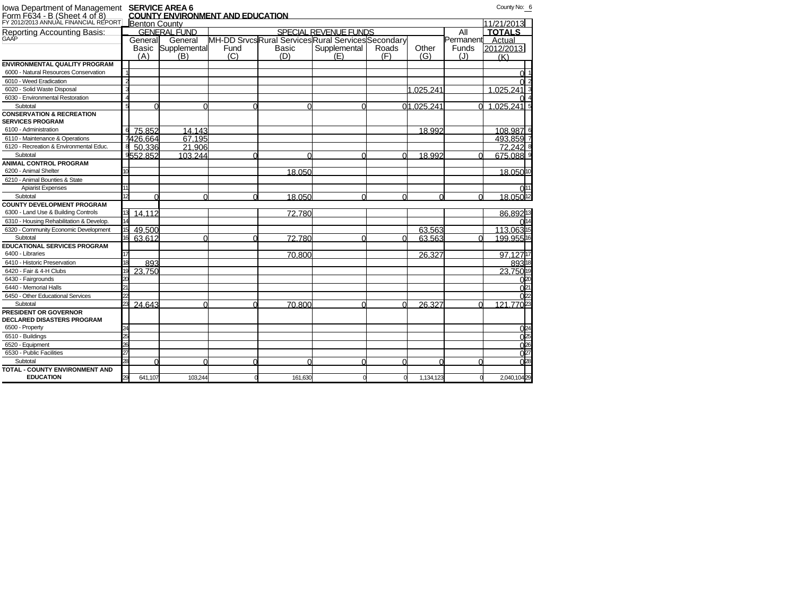| Iowa Department of Management<br>Form F634 - B (Sheet 4 of 8) |    |                      | <b>SERVICE AREA 6</b> | <b>COUNTY ENVIRONMENT AND EDUCATION</b> |                                                  |                       |       |            |           | County No: 6               |
|---------------------------------------------------------------|----|----------------------|-----------------------|-----------------------------------------|--------------------------------------------------|-----------------------|-------|------------|-----------|----------------------------|
| FY 2012/2013 ANNUAL FINANCIAL REPORT                          |    | <b>Benton County</b> |                       |                                         |                                                  |                       |       |            |           | 11/21/2013                 |
| Reporting Accounting Basis:                                   |    |                      | GENERAL FUND          |                                         |                                                  | SPECIAL REVENUE FUNDS |       |            | All       | <b>TOTALS</b>              |
| GAAP                                                          |    | General              | General               |                                         | MH-DD SrvcsRural ServicesRural ServicesSecondary |                       |       |            | Permanent | Actual                     |
|                                                               |    | Basic                | Supplemental          | Fund                                    | Basic                                            | Supplemental          | Roads | Other      | Funds     | 2012/2013                  |
|                                                               |    | (A)                  | (B)                   | (C)                                     | (D)                                              | (E)                   | (F)   | (G)        | (J)       | (K)                        |
| <b>ENVIRONMENTAL QUALITY PROGRAM</b>                          |    |                      |                       |                                         |                                                  |                       |       |            |           |                            |
| 6000 - Natural Resources Conservation                         |    |                      |                       |                                         |                                                  |                       |       |            |           |                            |
| 6010 - Weed Eradication                                       |    |                      |                       |                                         |                                                  |                       |       |            |           |                            |
| 6020 - Solid Waste Disposal                                   |    |                      |                       |                                         |                                                  |                       |       | 1.025.241  |           | 1.025.241                  |
| 6030 - Environmental Restoration                              |    |                      |                       |                                         |                                                  |                       |       |            |           |                            |
| Subtotal                                                      |    |                      |                       |                                         | $\circ$                                          |                       |       | 01.025.241 |           | $.025.24\overline{1}$<br>1 |
| <b>CONSERVATION &amp; RECREATION</b>                          |    |                      |                       |                                         |                                                  |                       |       |            |           |                            |
| <b>SERVICES PROGRAM</b>                                       |    |                      |                       |                                         |                                                  |                       |       |            |           |                            |
| 6100 - Administration                                         | 6  | 75.852               | 14.143                |                                         |                                                  |                       |       | 18.992     |           | 108.987                    |
| 6110 - Maintenance & Operations                               |    | 7426.664             | 67.195                |                                         |                                                  |                       |       |            |           | 493.859                    |
| 6120 - Recreation & Environmental Educ.                       |    | 50.336               | 21.906                |                                         |                                                  |                       |       |            |           | 72.2428                    |
| Subtotal                                                      |    | 9552.852             | 103.244               | r                                       | r                                                |                       | ∩     | 18.992     | U         | 675.088                    |
| ANIMAL CONTROL PROGRAM                                        |    |                      |                       |                                         |                                                  |                       |       |            |           |                            |
| 6200 - Animal Shelter                                         |    |                      |                       |                                         | 18.050                                           |                       |       |            |           | 18.05010                   |
| 6210 - Animal Bounties & State                                |    |                      |                       |                                         |                                                  |                       |       |            |           |                            |
| <b>Apiarist Expenses</b>                                      |    |                      |                       |                                         |                                                  |                       |       |            |           |                            |
| Subtotal                                                      |    |                      | U                     | U                                       | 18.050                                           | r                     | ∩     | ∩          | $\Omega$  | 18.05012                   |
| <b>COUNTY DEVELOPMENT PROGRAM</b>                             |    |                      |                       |                                         |                                                  |                       |       |            |           |                            |
| 6300 - Land Use & Building Controls                           |    | 14.112               |                       |                                         | 72.780                                           |                       |       |            |           | 86.89213                   |
| 6310 - Housing Rehabilitation & Develop.                      |    |                      |                       |                                         |                                                  |                       |       |            |           |                            |
| 6320 - Community Economic Development                         |    | 49.500               |                       |                                         |                                                  |                       |       | 63.563     |           | 113.06315                  |
| Subtotal                                                      |    | 63.612               |                       |                                         | 72.780                                           |                       |       | 63.563     |           | 199.95516                  |
| <b>EDUCATIONAL SERVICES PROGRAM</b>                           |    |                      |                       |                                         |                                                  |                       |       |            |           |                            |
| 6400 - Libraries                                              |    |                      |                       |                                         | 70.800                                           |                       |       | 26.327     |           | 97.12717                   |
| 6410 - Historic Preservation                                  |    | 893                  |                       |                                         |                                                  |                       |       |            |           | 89318                      |
| 6420 - Fair & 4-H Clubs                                       |    | 23.750               |                       |                                         |                                                  |                       |       |            |           | 23.750                     |
| 6430 - Fairgrounds                                            |    |                      |                       |                                         |                                                  |                       |       |            |           | na.                        |
| 6440 - Memorial Halls                                         |    |                      |                       |                                         |                                                  |                       |       |            |           | N2                         |
| 6450 - Other Educational Services                             |    |                      |                       |                                         |                                                  |                       |       |            |           |                            |
| Subtotal                                                      |    | 24.643               |                       |                                         | 70.800                                           |                       |       | 26.327     |           | 121.7702                   |
| PRESIDENT OR GOVERNOR                                         |    |                      |                       |                                         |                                                  |                       |       |            |           |                            |
| <b>DECLARED DISASTERS PROGRAM</b>                             |    |                      |                       |                                         |                                                  |                       |       |            |           |                            |
| 6500 - Property                                               |    |                      |                       |                                         |                                                  |                       |       |            |           | $\bigcap_{24}$             |
| 6510 - Buildings                                              |    |                      |                       |                                         |                                                  |                       |       |            |           | በ2                         |
| 6520 - Equipment                                              |    |                      |                       |                                         |                                                  |                       |       |            |           | ∩26                        |
| 6530 - Public Facilities                                      |    |                      |                       |                                         |                                                  |                       |       |            |           | $\Omega$                   |
| Subtotal                                                      |    |                      | ∩                     |                                         | r                                                |                       | ∩     | r          |           | $\bigcap$ 28               |
| <b>TOTAL - COUNTY ENVIRONMENT AND</b>                         |    |                      |                       |                                         |                                                  |                       |       |            |           |                            |
| <b>EDUCATION</b>                                              | 29 | 641,107              | 103.244               |                                         | 161,630                                          |                       |       | 1,134,123  |           | 2,040,10429                |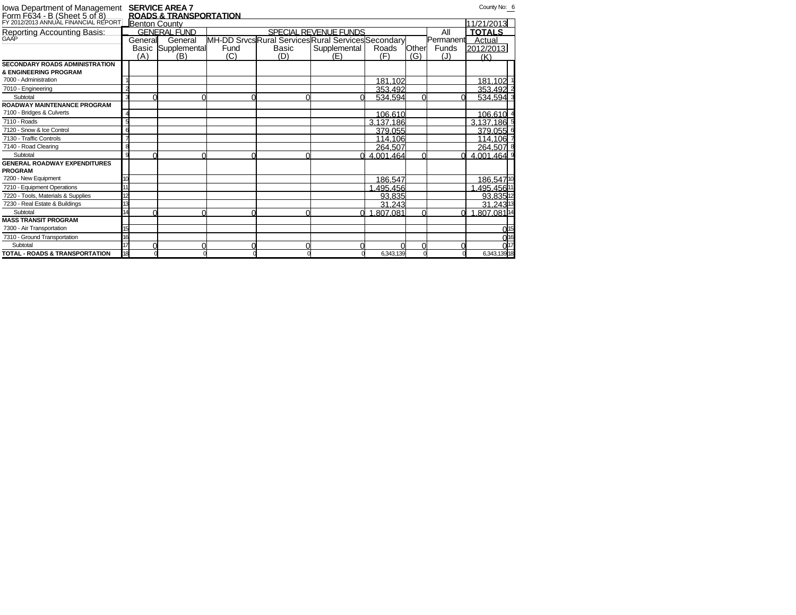| Iowa Department of Management<br>Form F634 - B (Sheet 5 of 8)<br>FY 2012/2013 ANNUAL FINANCIAL REPORT |                      | <b>SERVICE AREA 7</b>             |      |       |                                                  |           |       |           | County No: 6         |  |
|-------------------------------------------------------------------------------------------------------|----------------------|-----------------------------------|------|-------|--------------------------------------------------|-----------|-------|-----------|----------------------|--|
|                                                                                                       |                      | <b>ROADS &amp; TRANSPORTATION</b> |      |       |                                                  |           |       |           |                      |  |
|                                                                                                       | <b>Benton County</b> |                                   |      |       |                                                  |           |       |           | 11/21/2013           |  |
| Reporting Accounting Basis:<br>GAAP                                                                   |                      | <b>GENERAL FUND</b>               |      |       | SPECIAL REVENUE FUNDS                            |           |       | All       | <b>TOTALS</b>        |  |
|                                                                                                       | General              | General                           |      |       | MH-DD SrvcsRural ServicesRural ServicesSecondary |           |       | Permanent | Actual               |  |
|                                                                                                       |                      | <b>Basic Supplemental</b>         | Fund | Basic | Supplemental                                     | Roads     | Other | Funds     | 2012/2013            |  |
|                                                                                                       | (A)                  | (B)                               | (C)  | (D)   | (E)                                              | (F)       | (G)   | (J)       | (K)                  |  |
| <b>SECONDARY ROADS ADMINISTRATION</b>                                                                 |                      |                                   |      |       |                                                  |           |       |           |                      |  |
| & ENGINEERING PROGRAM                                                                                 |                      |                                   |      |       |                                                  |           |       |           |                      |  |
| 7000 - Administration                                                                                 |                      |                                   |      |       |                                                  | 181.102   |       |           | 181.102 1            |  |
| 7010 - Engineering                                                                                    |                      |                                   |      |       |                                                  | 353.492   |       |           | 353.492 2            |  |
| Subtotal                                                                                              |                      |                                   |      |       |                                                  | 534.594   |       |           | 534.594 3            |  |
| <b>ROADWAY MAINTENANCE PROGRAM</b>                                                                    |                      |                                   |      |       |                                                  |           |       |           |                      |  |
| 7100 - Bridges & Culverts                                                                             |                      |                                   |      |       |                                                  | 106.610   |       |           | 106.610 4            |  |
| 7110 - Roads                                                                                          |                      |                                   |      |       |                                                  | 3.137.186 |       |           | 3.137.186 5          |  |
| 7120 - Snow & Ice Control                                                                             |                      |                                   |      |       |                                                  | 379.055   |       |           | 379.055 6            |  |
| 7130 - Traffic Controls                                                                               |                      |                                   |      |       |                                                  | 114.106   |       |           | 114.106 7            |  |
| 7140 - Road Clearing                                                                                  |                      |                                   |      |       |                                                  | 264.507   |       |           | 264.507 8            |  |
| Subtotal                                                                                              |                      |                                   |      |       |                                                  | 4.001.464 |       |           | 4.001.464 9          |  |
| <b>GENERAL ROADWAY EXPENDITURES</b><br><b>PROGRAM</b>                                                 |                      |                                   |      |       |                                                  |           |       |           |                      |  |
| 7200 - New Equipment                                                                                  |                      |                                   |      |       |                                                  | 186.547   |       |           | 186.54710            |  |
| 7210 - Equipment Operations                                                                           |                      |                                   |      |       |                                                  | .495.456  |       |           | 1.495.45611          |  |
| 7220 - Tools, Materials & Supplies                                                                    | $\mathcal{P}$        |                                   |      |       |                                                  | 93.835    |       |           | 93.835 12            |  |
| 7230 - Real Estate & Buildings                                                                        | 13                   |                                   |      |       |                                                  | 31.243    |       |           | 31.243 <sup>13</sup> |  |
| Subtotal                                                                                              |                      |                                   |      |       |                                                  | .807.081  |       |           | .807.081 14          |  |
| <b>MASS TRANSIT PROGRAM</b>                                                                           |                      |                                   |      |       |                                                  |           |       |           |                      |  |
| 7300 - Air Transportation                                                                             | 15                   |                                   |      |       |                                                  |           |       |           | 0 <sup>15</sup>      |  |
| 7310 - Ground Transportation                                                                          | 16                   |                                   |      |       |                                                  |           |       |           | 0 <sup>16</sup>      |  |
| Subtotal                                                                                              |                      |                                   |      |       |                                                  |           |       |           | $\overline{017}$     |  |
| <b>TOTAL - ROADS &amp; TRANSPORTATION</b>                                                             | 18                   |                                   |      |       |                                                  | 6,343,139 |       |           | 6,343,13918          |  |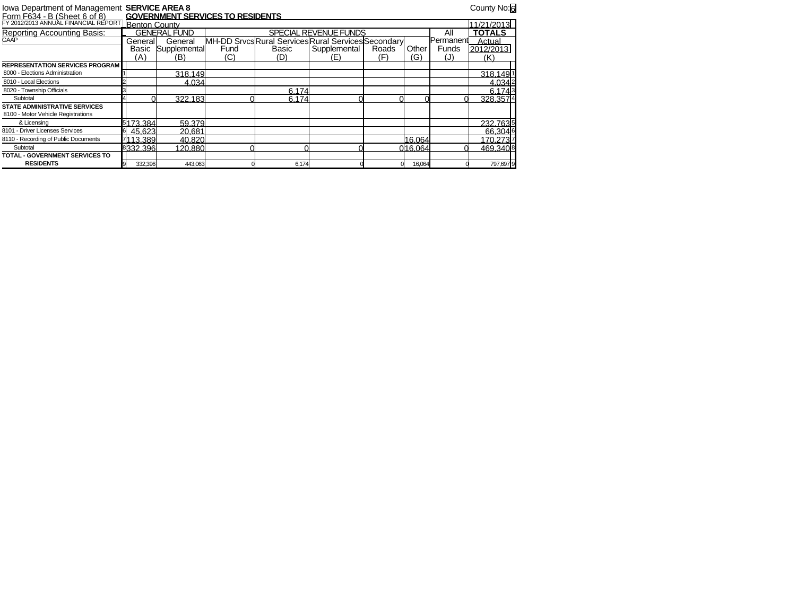## Iowa Department of Management **SERVICE AREA 8** County No:6 Form F634 - B (Sheet 6 of 8) **GOVERNMENT SERVICES TO RESIDENTS**

| <u> Form F634 - B (Sheet 6 of 8)</u>   |               | <u>GOVERNMENT SERVICES TO RESIDENTS</u> |      |                                                             |                       |       |         |           |               |
|----------------------------------------|---------------|-----------------------------------------|------|-------------------------------------------------------------|-----------------------|-------|---------|-----------|---------------|
| FY 2012/2013 ANNUAL FINANCIAL REPORT   | Benton County |                                         |      |                                                             |                       |       |         |           | 11/21/2013    |
| Reporting Accounting Basis:<br>GAAP    |               | <b>GENERAL FUND</b>                     |      |                                                             | SPECIAL REVENUE FUNDS |       |         | All       | <b>TOTALS</b> |
|                                        | Generall      | General                                 |      | <b>IMH-DD Srvcs Rural Services Rural Services Secondary</b> |                       |       |         | Permanent | Actual        |
|                                        | Basic         | Supplemental                            | Fund | Basic                                                       | Supplemental          | Roads | Other   | Funds     | 2012/2013     |
|                                        | (A)           | (B)                                     | (C)  | (D)                                                         | (E)                   | (F)   | (G)     | (J)       | (K)           |
| <b>REPRESENTATION SERVICES PROGRAM</b> |               |                                         |      |                                                             |                       |       |         |           |               |
| 8000 - Elections Administration        |               | 318.149                                 |      |                                                             |                       |       |         |           | 318.1491      |
| 8010 - Local Elections                 |               | 4.034                                   |      |                                                             |                       |       |         |           | 4.0342        |
| 8020 - Township Officials              |               |                                         |      | 6.174                                                       |                       |       |         |           | 6.1743        |
| Subtotal                               |               | 322.183                                 |      | 6.174                                                       |                       |       |         |           | 328.3574      |
| <b>STATE ADMINISTRATIVE SERVICES</b>   |               |                                         |      |                                                             |                       |       |         |           |               |
| 8100 - Motor Vehicle Registrations     |               |                                         |      |                                                             |                       |       |         |           |               |
| & Licensing                            | 5173.384      | 59.379                                  |      |                                                             |                       |       |         |           | 232.7635      |
| 8101 - Driver Licenses Services        | 45.623        | 20.681                                  |      |                                                             |                       |       |         |           | 66.3046       |
| 8110 - Recording of Public Documents   | 7113.389      | 40.820                                  |      |                                                             |                       |       | 16.064  |           | 170.2737      |
| Subtotal                               | 8332.396      | 120.880                                 |      |                                                             |                       |       | 016.064 |           | 469.3408      |
| <b>TOTAL - GOVERNMENT SERVICES TO</b>  |               |                                         |      |                                                             |                       |       |         |           |               |
| <b>RESIDENTS</b>                       | 332,396       | 443,063                                 |      | 6,174                                                       |                       |       | 16,064  |           | 797,697 9     |
|                                        |               |                                         |      |                                                             |                       |       |         |           |               |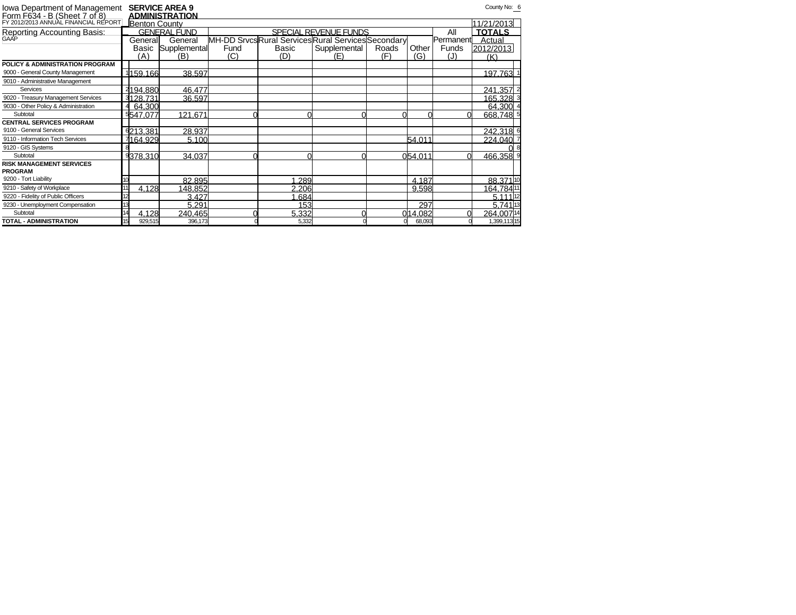| <b>lowa Department of Management<br/>Form F634 - B (Sheet 7 of 8)</b><br>FY 2012/2013 ANNUAL FINANCIAL REPORT |          | <b>SERVICE AREA 9</b><br>ADMINISTRATION |      |       |                                                  |       |         |           | County No: 6        |
|---------------------------------------------------------------------------------------------------------------|----------|-----------------------------------------|------|-------|--------------------------------------------------|-------|---------|-----------|---------------------|
|                                                                                                               |          | <b>Benton County</b>                    |      |       |                                                  |       |         |           | 11/21/2013          |
| Reporting Accounting Basis:<br><sub>GAAP</sub>                                                                |          | GENERAL FUND                            |      |       | SPECIAL REVENUE FUNDS                            |       |         | All       | <b>TOTALS</b>       |
|                                                                                                               | Generall | General                                 |      |       | MH-DD SrvcsRural ServicesRural ServicesSecondary |       |         | Permanent | Actual              |
|                                                                                                               | Basic    | Supplemental                            | Fund | Basic | Supplemental                                     | Roads | Other   | Funds     | 2012/2013           |
|                                                                                                               | (A)      | (B)                                     | (C)  | (D)   | (E)                                              | (F)   | (G)     | (J)       | (K)                 |
| POLICY & ADMINISTRATION PROGRAM                                                                               |          |                                         |      |       |                                                  |       |         |           |                     |
| 9000 - General County Management                                                                              | 1159.166 | 38.597                                  |      |       |                                                  |       |         |           | 197.763             |
| 9010 - Administrative Management                                                                              |          |                                         |      |       |                                                  |       |         |           |                     |
| Services                                                                                                      | 2194.880 | 46.477                                  |      |       |                                                  |       |         |           | 241.357             |
| 9020 - Treasury Management Services                                                                           | 3128.731 | 36.597                                  |      |       |                                                  |       |         |           | 165.328 3           |
| 9030 - Other Policy & Administration                                                                          | 64.300   |                                         |      |       |                                                  |       |         |           | 64.300              |
| Subtotal                                                                                                      | 5547.077 | 121.671                                 |      |       |                                                  |       |         |           | 668.748 5           |
| <b>CENTRAL SERVICES PROGRAM</b>                                                                               |          |                                         |      |       |                                                  |       |         |           |                     |
| 9100 - General Services                                                                                       | 6213.381 | 28.937                                  |      |       |                                                  |       |         |           | 242.318 6           |
| 9110 - Information Tech Services                                                                              | 7164.929 | 5.100                                   |      |       |                                                  |       | 54.011  |           | 224.040             |
| 9120 - GIS Systems                                                                                            |          |                                         |      |       |                                                  |       |         |           |                     |
| Subtotal                                                                                                      | 9378.310 | 34.037                                  |      |       |                                                  |       | 054.011 |           | 466.358 9           |
| <b>RISK MANAGEMENT SERVICES</b>                                                                               |          |                                         |      |       |                                                  |       |         |           |                     |
| <b>PROGRAM</b>                                                                                                |          |                                         |      |       |                                                  |       |         |           |                     |
| 9200 - Tort Liability                                                                                         |          | 82.895                                  |      | 289   |                                                  |       | 4.187   |           | 88.37110            |
| 9210 - Safety of Workplace                                                                                    |          | 4.128<br>148.852                        |      | 2.206 |                                                  |       | 9.598   |           | 164.78411           |
| 9220 - Fidelity of Public Officers                                                                            |          | 3.427                                   |      | .684  |                                                  |       |         |           | 5.111 12            |
| 9230 - Unemployment Compensation                                                                              |          | 5.291                                   |      | 153   |                                                  |       | 297     |           | 5.741 <sup>13</sup> |
| Subtotal                                                                                                      |          | 4.128<br>240.465                        |      | 5.332 |                                                  |       | 014.082 |           | 264.00714           |
| TOTAL - ADMINISTRATION                                                                                        | 15       | 929,515<br>396,173                      |      | 5,332 |                                                  |       | 68,093  |           | 1,399,11315         |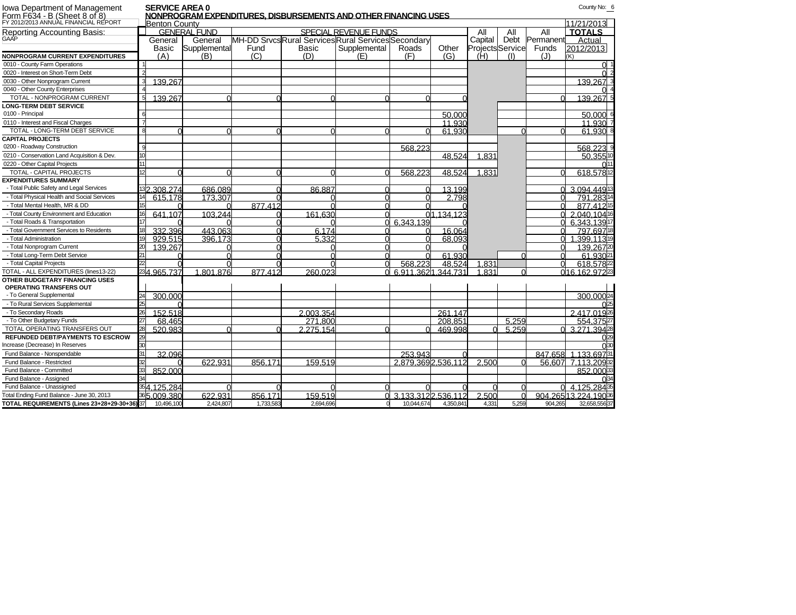| <b>Iowa Department of Management</b>                                 | <b>SERVICE AREA 0</b> |                     |           | NONPROGRAM EXPENDITURES. DISBURSEMENTS AND OTHER FINANCING USES |                       |                    |                     |                         |       |           | County No: 6        |
|----------------------------------------------------------------------|-----------------------|---------------------|-----------|-----------------------------------------------------------------|-----------------------|--------------------|---------------------|-------------------------|-------|-----------|---------------------|
| Form F634 - B (Sheet 8 of 8)<br>FY 2012/2013 ANNUAL FINANCIAL REPORT | <b>Benton County</b>  |                     |           |                                                                 |                       |                    |                     |                         |       |           | 11/21/2013          |
| Reporting Accounting Basis:                                          |                       | <b>GENERAL FUND</b> |           |                                                                 | SPECIAL REVENUE FUNDS |                    |                     | All                     | All   | All       | <b>TOTALS</b>       |
| <b>GAAP</b>                                                          | General               | General             |           | MH-DD Srvcs Rural Services Rural Services Secondary             |                       |                    |                     | Capital                 | Debt  | Permanent | Actual              |
|                                                                      | Basic                 | Supplemental        | Fund      | Basic                                                           | Supplemental          | Roads              | Other               | <b>Projects</b> Service |       | Funds     | 2012/2013           |
| <b>NONPROGRAM CURRENT EXPENDITURES</b>                               | (A)                   | (B)                 | (C)       | (D)                                                             | (E)                   | (F)                | (G)                 | (H)                     | (1)   | (J)       | (K)                 |
| 0010 - County Farm Operations                                        |                       |                     |           |                                                                 |                       |                    |                     |                         |       |           | $\Omega$ .          |
| 0020 - Interest on Short-Term Debt                                   |                       |                     |           |                                                                 |                       |                    |                     |                         |       |           | $\Omega$            |
| 0030 - Other Nonprogram Current                                      | 139.267               |                     |           |                                                                 |                       |                    |                     |                         |       |           | 139.267             |
| 0040 - Other County Enterprises                                      |                       |                     |           |                                                                 |                       |                    |                     |                         |       |           |                     |
| TOTAL - NONPROGRAM CURRENT                                           | 139.267               |                     |           |                                                                 |                       |                    |                     |                         |       |           | 139.267 5           |
| <b>LONG-TERM DEBT SERVICE</b>                                        |                       |                     |           |                                                                 |                       |                    |                     |                         |       |           |                     |
| 0100 - Principal                                                     |                       |                     |           |                                                                 |                       |                    | 50.000              |                         |       |           | 50,000 6            |
| 0110 - Interest and Fiscal Charges                                   |                       |                     |           |                                                                 |                       |                    | 11.930              |                         |       |           | 11.930              |
| TOTAL - LONG-TERM DEBT SERVICE                                       |                       |                     |           |                                                                 |                       |                    | 61.930              |                         |       |           | 61.930 8            |
| <b>CAPITAL PROJECTS</b>                                              |                       |                     |           |                                                                 |                       |                    |                     |                         |       |           |                     |
| 0200 - Roadway Construction                                          |                       |                     |           |                                                                 |                       | 568,223            |                     |                         |       |           | 568.223             |
| 0210 - Conservation Land Acquisition & Dev.                          |                       |                     |           |                                                                 |                       |                    | 48.524              | 1.831                   |       |           | 50.35510            |
| 0220 - Other Capital Projects                                        |                       |                     |           |                                                                 |                       |                    |                     |                         |       |           |                     |
| TOTAL - CAPITAL PROJECTS                                             |                       |                     |           |                                                                 |                       | 568,223            | $48.52\overline{4}$ | 1.831                   |       |           | 618.57812           |
| <b>EXPENDITURES SUMMARY</b>                                          |                       |                     |           |                                                                 |                       |                    |                     |                         |       |           |                     |
| - Total Public Safety and Legal Services                             | 32.308.274            | 686.089             |           | 86.887                                                          |                       |                    | 13.199              |                         |       |           | 3.094.44913         |
| - Total Physical Health and Social Services                          | 615.178               | 173.307             |           |                                                                 |                       |                    | 2.798               |                         |       |           | 791,28314           |
| - Total Mental Health, MR & DD                                       |                       |                     | 877.412   |                                                                 |                       |                    |                     |                         |       |           | 877.41215           |
| - Total County Environment and Education                             | 641.107               | 103.244             |           | 161.630                                                         |                       |                    | 01.134.123          |                         |       |           | 2.040.10416         |
| - Total Roads & Transportation                                       |                       |                     |           |                                                                 |                       | 6.343.139          |                     |                         |       |           | 6.343.13917         |
| - Total Government Services to Residents                             | 332.396               | 443.063             |           | 6.174                                                           |                       |                    | 16.064              |                         |       |           | 797.69718           |
| - Total Administration                                               | 929.515               | 396.173             |           | 5.332                                                           |                       |                    | 68.093              |                         |       |           | 1.399.11319         |
| - Total Nonprogram Current                                           | 139,267               |                     |           |                                                                 |                       |                    |                     |                         |       |           | 139.26720           |
| - Total Long-Term Debt Service                                       |                       |                     |           |                                                                 |                       |                    | 61.930              |                         |       |           | 61.93021            |
| - Total Capital Projects                                             |                       |                     |           |                                                                 |                       | 568.223            | 48.524              | 1.831                   |       |           | 618,57822           |
| TOTAL - ALL EXPENDITURES (lines13-22)                                | 234.965.737           | 1.801.876           | 877.412   | 260.023                                                         |                       | 6.911.3621.344.731 |                     | 1.831                   |       |           | 016.162.97223       |
| OTHER BUDGETARY FINANCING USES                                       |                       |                     |           |                                                                 |                       |                    |                     |                         |       |           |                     |
| OPERATING TRANSFERS OUT                                              |                       |                     |           |                                                                 |                       |                    |                     |                         |       |           |                     |
| - To General Supplemental                                            | 300.000               |                     |           |                                                                 |                       |                    |                     |                         |       |           | 300.00024           |
| - To Rural Services Supplemental                                     |                       |                     |           |                                                                 |                       |                    |                     |                         |       |           |                     |
| - To Secondary Roads                                                 | 152.518               |                     |           | 2.003.354                                                       |                       |                    | 261.147             |                         |       |           | 2.417.0192          |
| - To Other Budgetary Funds                                           | 68.465                |                     |           | 271.800                                                         |                       |                    | 208.851             |                         | 5.259 |           | 554.37527           |
| TOTAL OPERATING TRANSFERS OUT                                        | 520.983               |                     |           | 2.275.154                                                       |                       |                    | 469.998             |                         | 5.259 |           | 3.271.39428         |
| <b>REFUNDED DEBT/PAYMENTS TO ESCROW</b>                              |                       |                     |           |                                                                 |                       |                    |                     |                         |       |           |                     |
| Increase (Decrease) In Reserves                                      |                       |                     |           |                                                                 |                       |                    |                     |                         |       |           |                     |
| Fund Balance - Nonspendable                                          | 32.096                |                     |           |                                                                 |                       | 253.943            |                     |                         |       |           | 847.658 1.133.69731 |
| Fund Balance - Restricted                                            |                       | 622.931             | 856.171   | 159.519                                                         |                       | 2.879.3692.536.112 |                     | 2.500                   |       |           | 56.607 7.113.20932  |
| Fund Balance - Committed                                             | 852.000               |                     |           |                                                                 |                       |                    |                     |                         |       |           | 852,0003            |
| Fund Balance - Assigned                                              |                       |                     |           |                                                                 |                       |                    |                     |                         |       |           |                     |
| Fund Balance - Unassigned                                            | 54.125.284            |                     |           |                                                                 |                       |                    |                     |                         |       |           | 4.125.2843          |
| Total Ending Fund Balance - June 30, 2013                            | 365.009.380           | 622.931             | 856.171   | 159.519                                                         |                       | 3.133.3122.536.112 |                     | 2.500                   |       |           | 904.26513.224.19036 |
| TOTAL REQUIREMENTS (Lines 23+28+29-30+36) 37                         | 10,496,100            | 2.424.807           | 1,733,583 | 2,694,696                                                       |                       | 10,044,674         | 4,350,841           | 4.331                   | 5.259 | 904,265   | 32,658,55637        |